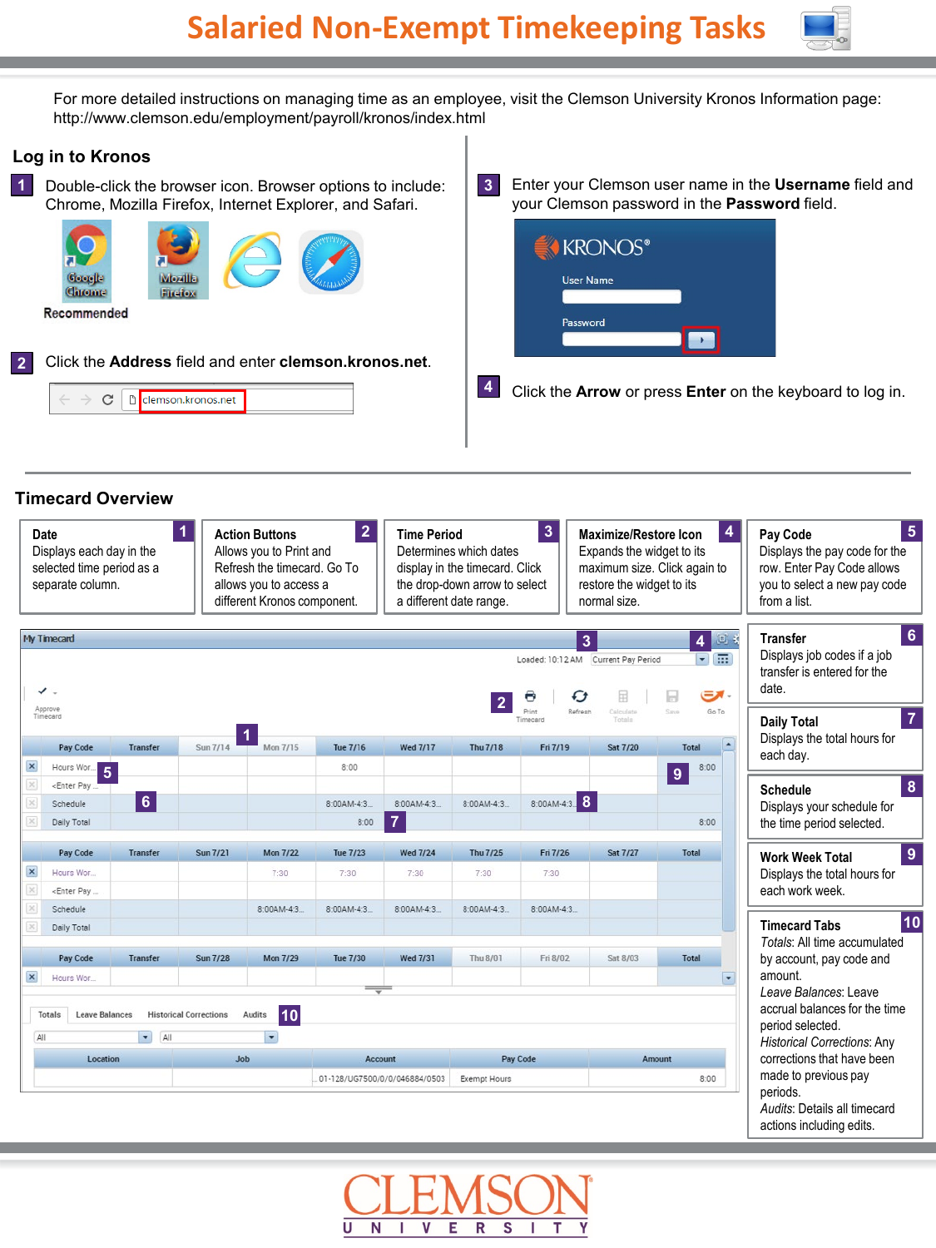

For more detailed instructions on managing time as an employee, visit the Clemson University Kronos Information page: http://www.clemson.edu/employment/payroll/kronos/index.html

## **Log in to Kronos**

Double-click the browser icon. Browser options to include: **1** Chrome, Mozilla Firefox, Internet Explorer, and Safari.





Enter your Clemson user name in the **Username** field and your Clemson password in the **Password** field. **3**



Click the **Arrow** or press **Enter** on the keyboard to log in. **4**

## **Timecard Overview**

| $\mathbf{1}$<br>Date<br><b>Action Buttons</b><br>Allows you to Print and<br>Displays each day in the<br>Refresh the timecard. Go To<br>selected time period as a<br>allows you to access a<br>separate column.<br>different Kronos component. |                                                                                                                                              |                 |                               | $\overline{2}$<br>$\overline{\mathbf{3}}$<br><b>Time Period</b><br>Determines which dates<br>display in the timecard. Click<br>the drop-down arrow to select<br>a different date range. |                               |                 |              | <b>Maximize/Restore Icon</b><br>Expands the widget to its<br>maximum size. Click again to<br>restore the widget to its<br>normal size. |                                     | $\overline{\mathbf{4}}$<br>$\overline{5}$<br>Pay Code<br>Displays the pay code for the<br>row. Enter Pay Code allows<br>you to select a new pay code<br>from a list. |                                                                     |
|-----------------------------------------------------------------------------------------------------------------------------------------------------------------------------------------------------------------------------------------------|----------------------------------------------------------------------------------------------------------------------------------------------|-----------------|-------------------------------|-----------------------------------------------------------------------------------------------------------------------------------------------------------------------------------------|-------------------------------|-----------------|--------------|----------------------------------------------------------------------------------------------------------------------------------------|-------------------------------------|----------------------------------------------------------------------------------------------------------------------------------------------------------------------|---------------------------------------------------------------------|
|                                                                                                                                                                                                                                               | My Timecard                                                                                                                                  |                 |                               |                                                                                                                                                                                         |                               |                 |              |                                                                                                                                        | $\overline{3}$                      | 回日<br>4                                                                                                                                                              | $6\phantom{1}6$<br><b>Transfer</b>                                  |
|                                                                                                                                                                                                                                               | $\checkmark$ .                                                                                                                               |                 |                               |                                                                                                                                                                                         |                               |                 |              |                                                                                                                                        | Loaded: 10:12 AM Current Pay Period | 同語<br>- الات                                                                                                                                                         | Displays job codes if a job<br>transfer is entered for the<br>date. |
|                                                                                                                                                                                                                                               | Approve<br>Timecard                                                                                                                          |                 |                               |                                                                                                                                                                                         |                               |                 |              | Timecard                                                                                                                               | Refresh<br>Calculate<br>Totals      | Go To<br>Save                                                                                                                                                        | $\overline{7}$<br><b>Daily Total</b>                                |
|                                                                                                                                                                                                                                               | Pay Code                                                                                                                                     | <b>Transfer</b> | Sun 7/14                      | Mon 7/15                                                                                                                                                                                | <b>Tue 7/16</b>               | <b>Wed 7/17</b> | Thu 7/18     | Fri 7/19                                                                                                                               | <b>Sat 7/20</b>                     | ٠<br>Total                                                                                                                                                           | Displays the total hours for<br>each day.                           |
| $\pmb{\times}$                                                                                                                                                                                                                                | Hours Wor.                                                                                                                                   | 5               |                               |                                                                                                                                                                                         | 8:00                          |                 |              |                                                                                                                                        |                                     | 8:00<br>9                                                                                                                                                            |                                                                     |
|                                                                                                                                                                                                                                               | <enter pay<="" td=""><td></td><td></td><td></td><td></td><td></td><td></td><td></td><td></td><td></td><td>8<br/><b>Schedule</b></td></enter> |                 |                               |                                                                                                                                                                                         |                               |                 |              |                                                                                                                                        |                                     |                                                                                                                                                                      | 8<br><b>Schedule</b>                                                |
|                                                                                                                                                                                                                                               | Schedule                                                                                                                                     | $6\phantom{a}$  |                               |                                                                                                                                                                                         | 8:00AM-4:3                    | 8:00AM-4:3      | 8:00AM-4:3   | 8:00AM-4:3                                                                                                                             |                                     |                                                                                                                                                                      | Displays your schedule for                                          |
|                                                                                                                                                                                                                                               | Daily Total                                                                                                                                  |                 |                               |                                                                                                                                                                                         | 8:00                          | $\overline{7}$  |              |                                                                                                                                        |                                     | 8:00                                                                                                                                                                 | the time period selected.                                           |
|                                                                                                                                                                                                                                               | Pay Code                                                                                                                                     | <b>Transfer</b> | <b>Sun 7/21</b>               | <b>Mon 7/22</b>                                                                                                                                                                         | <b>Tue 7/23</b>               | <b>Wed 7/24</b> | Thu 7/25     | Fri 7/26                                                                                                                               | <b>Sat 7/27</b>                     | <b>Total</b>                                                                                                                                                         | $\overline{9}$<br><b>Work Week Total</b>                            |
| $\pmb{\times}$                                                                                                                                                                                                                                | Hours Wor                                                                                                                                    |                 |                               | 7:30                                                                                                                                                                                    | 7:30                          | 7:30            | 7:30         | 7:30                                                                                                                                   |                                     |                                                                                                                                                                      | Displays the total hours for                                        |
|                                                                                                                                                                                                                                               | <enter pay<="" td=""><td></td><td></td><td></td><td></td><td></td><td></td><td></td><td></td><td></td><td>each work week.</td></enter>       |                 |                               |                                                                                                                                                                                         |                               |                 |              |                                                                                                                                        |                                     |                                                                                                                                                                      | each work week.                                                     |
|                                                                                                                                                                                                                                               | Schedule                                                                                                                                     |                 |                               | 8:00AM-4:3.                                                                                                                                                                             | $8:00AM-4:3$                  | $8:00AM-4:3$    | 8:00AM-4:3.  | $8:00AM-4:3$ .                                                                                                                         |                                     |                                                                                                                                                                      | 10                                                                  |
|                                                                                                                                                                                                                                               | Daily Total                                                                                                                                  |                 |                               |                                                                                                                                                                                         |                               |                 |              |                                                                                                                                        |                                     |                                                                                                                                                                      | <b>Timecard Tabs</b><br>Totals: All time accumulated                |
|                                                                                                                                                                                                                                               | Pay Code                                                                                                                                     | Transfer        | <b>Sun 7/28</b>               | <b>Mon 7/29</b>                                                                                                                                                                         | <b>Tue 7/30</b>               | <b>Wed 7/31</b> | Thu 8/01     | Fri 8/02                                                                                                                               | Sat 8/03                            | Total                                                                                                                                                                | by account, pay code and                                            |
| $\pmb{\times}$                                                                                                                                                                                                                                | Hours Wor.                                                                                                                                   |                 |                               |                                                                                                                                                                                         |                               |                 |              |                                                                                                                                        |                                     | $\overline{\phantom{0}}$                                                                                                                                             | amount.                                                             |
|                                                                                                                                                                                                                                               |                                                                                                                                              |                 |                               |                                                                                                                                                                                         | ᆕ                             |                 |              |                                                                                                                                        |                                     |                                                                                                                                                                      | Leave Balances: Leave                                               |
|                                                                                                                                                                                                                                               | Totals<br><b>Leave Balances</b>                                                                                                              |                 | <b>Historical Corrections</b> | 10<br>Audits                                                                                                                                                                            |                               |                 |              |                                                                                                                                        |                                     |                                                                                                                                                                      | accrual balances for the time                                       |
| All                                                                                                                                                                                                                                           |                                                                                                                                              | All<br>٠        |                               | $\overline{\phantom{a}}$                                                                                                                                                                |                               |                 |              |                                                                                                                                        |                                     |                                                                                                                                                                      | period selected.<br><b>Historical Corrections: Any</b>              |
| Job<br>Location                                                                                                                                                                                                                               |                                                                                                                                              |                 |                               |                                                                                                                                                                                         | Pay Code<br><b>Account</b>    |                 |              | Amount                                                                                                                                 |                                     | corrections that have been                                                                                                                                           |                                                                     |
|                                                                                                                                                                                                                                               |                                                                                                                                              |                 |                               |                                                                                                                                                                                         | 01-128/UG7500/0/0/046884/0503 |                 | Exempt Hours |                                                                                                                                        |                                     | 8:00                                                                                                                                                                 | made to previous pay                                                |
|                                                                                                                                                                                                                                               |                                                                                                                                              |                 |                               |                                                                                                                                                                                         |                               |                 |              |                                                                                                                                        |                                     | periods.                                                                                                                                                             |                                                                     |
|                                                                                                                                                                                                                                               |                                                                                                                                              |                 |                               |                                                                                                                                                                                         |                               |                 |              |                                                                                                                                        |                                     |                                                                                                                                                                      | Audits: Details all timecard                                        |
|                                                                                                                                                                                                                                               |                                                                                                                                              |                 |                               |                                                                                                                                                                                         |                               |                 |              |                                                                                                                                        |                                     |                                                                                                                                                                      | actions including edits.                                            |

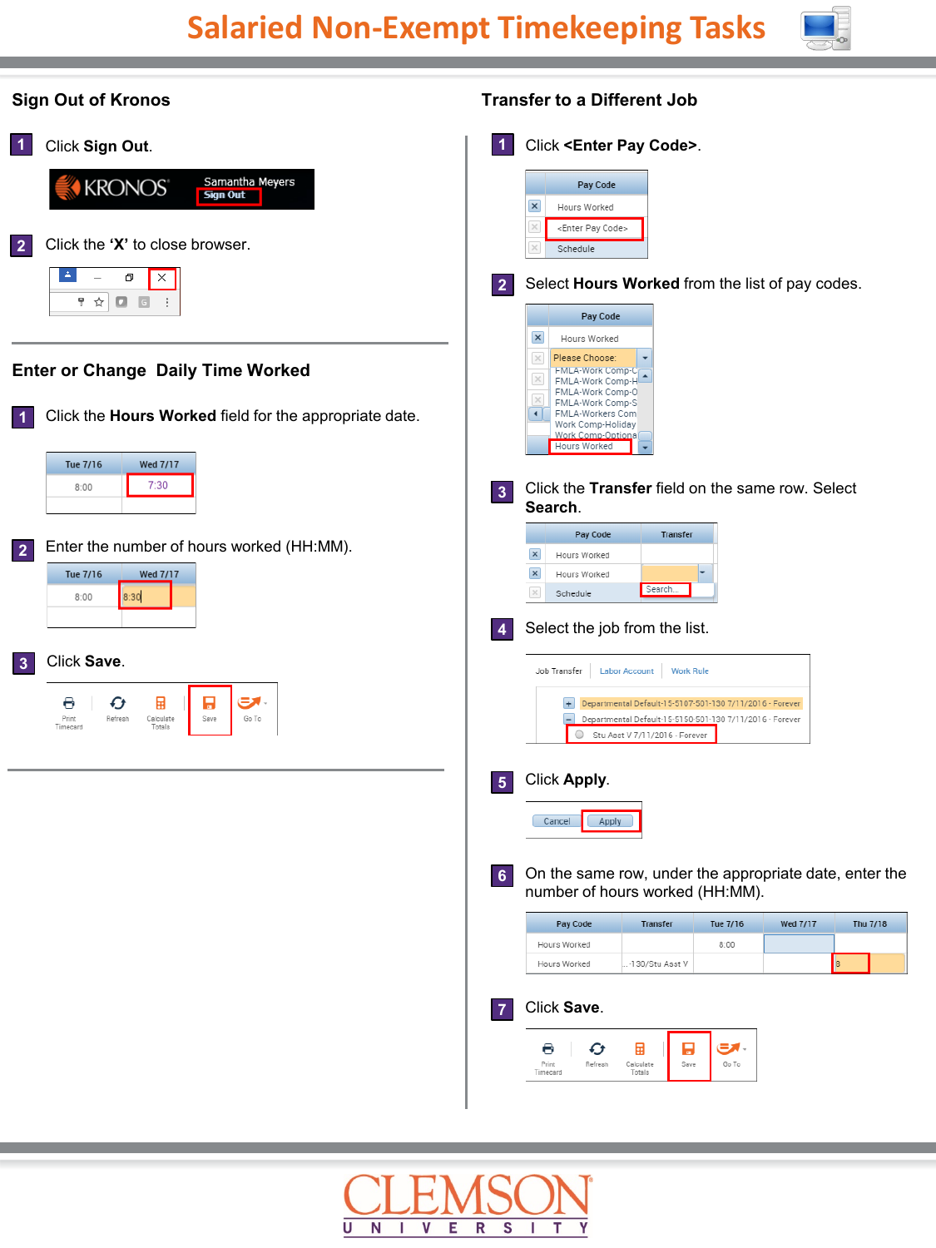

| <b>Sign Out of Kronos</b>                                                                       | <b>Transfer to a Different Job</b>                                                                                                                                       |
|-------------------------------------------------------------------------------------------------|--------------------------------------------------------------------------------------------------------------------------------------------------------------------------|
| Click Sign Out.<br>$\vert$ 1                                                                    | Click <enter code="" pay="">.<br/><math>\vert</math> 1</enter>                                                                                                           |
| Samantha Meyers<br>KRONOS <sup>®</sup><br><b>Sign Out</b>                                       | Pay Code<br>$\vert x \vert$<br>Hours Worked<br>$\times$<br><enter code="" pay=""></enter>                                                                                |
| Click the 'X' to close browser.<br>$\overline{2}$                                               | Schedule                                                                                                                                                                 |
| Δ.<br>ο<br>×<br>$\Box$ $\Box$<br>甼 ☆                                                            | Select Hours Worked from the list of pay codes.<br>$\overline{2}$                                                                                                        |
|                                                                                                 | Pay Code<br>$\vert x \vert$<br>Hours Worked                                                                                                                              |
| <b>Enter or Change Daily Time Worked</b>                                                        | $\times$<br>Please Choose:<br><b>HMLA-Work Comp-C</b><br>$\times$<br>FMLA-Work Comp-H<br>FMLA-Work Comp-0<br>$\propto$<br>FMLA-Work Comp-S                               |
| Click the Hours Worked field for the appropriate date.                                          | FMLA-Workers Com<br>$\blacktriangleleft$<br>Work Comp-Holiday<br>Work Comp-Optiona<br>Hours Worked                                                                       |
| Tue 7/16<br><b>Wed 7/17</b><br>7:30<br>8:00                                                     | Click the Transfer field on the same row. Select<br>3 <sup>1</sup><br>Search.                                                                                            |
| Enter the number of hours worked (HH:MM).                                                       | Pay Code<br>Transfer                                                                                                                                                     |
| $\overline{2}$<br>Tue 7/16<br><b>Wed 7/17</b>                                                   | $\vert x \vert$<br>Hours Worked<br>$\boldsymbol{\times}$<br>Hours Worked<br>Search.                                                                                      |
| 8:30<br>8:00                                                                                    | $\times$<br>Schedule<br>Select the job from the list.<br>$\overline{4}$                                                                                                  |
| Click Save.<br>3                                                                                | <b>Work Rule</b><br>Job Transfer<br><b>Labor Account</b>                                                                                                                 |
| ಕ್.<br>H<br>O<br>Ø<br>囲<br>Print<br>Refresh<br>Save<br>Go To<br>Calculate<br>Timecard<br>Totals | + Departmental Default-15-5107-501-130 7/11/2016 - Forever<br>н<br>Departmental Default-15-5150-501-130 7/11/2016 - Forever<br>$\circ$<br>Stu Asst V 7/11/2016 - Forever |
|                                                                                                 | Click Apply.<br>$\sqrt{5}$                                                                                                                                               |
|                                                                                                 | Cancel<br>Apply                                                                                                                                                          |
|                                                                                                 | On the same row, under the appropriate date, enter the<br>6<br>number of hours worked (HH:MM).                                                                           |
|                                                                                                 | <b>Wed 7/17</b><br>Thu 7/18<br>Pay Code<br>Transfer<br>Tue 7/16<br>8:00<br>Hours Worked                                                                                  |
|                                                                                                 | 8 <br>Hours Worked<br>.-130/Stu Asst V                                                                                                                                   |
|                                                                                                 | Click Save.<br>$\overline{7}$                                                                                                                                            |
|                                                                                                 | 国<br>B<br>- ات<br>Ð<br>Θ<br>Refresh<br>Save<br>Go To<br>Print<br>Calculate<br>Timecard<br>Totals                                                                         |
|                                                                                                 |                                                                                                                                                                          |
|                                                                                                 |                                                                                                                                                                          |